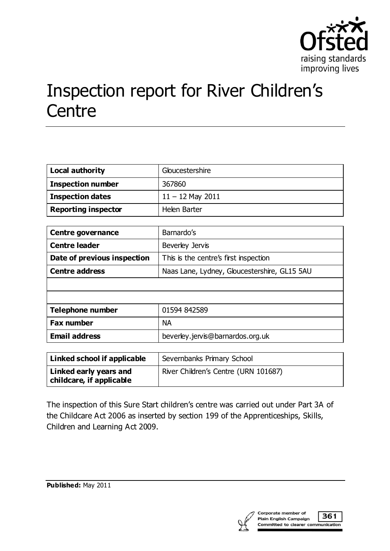

# Inspection report for River Children's **Centre**

| <b>Local authority</b>     | Gloucestershire    |
|----------------------------|--------------------|
| <b>Inspection number</b>   | 367860             |
| <b>Inspection dates</b>    | $11 - 12$ May 2011 |
| <b>Reporting inspector</b> | Helen Barter       |

| <b>Centre governance</b>    | Barnardo's                                   |
|-----------------------------|----------------------------------------------|
| <b>Centre leader</b>        | Beverley Jervis                              |
| Date of previous inspection | This is the centre's first inspection        |
| <b>Centre address</b>       | Naas Lane, Lydney, Gloucestershire, GL15 5AU |
|                             |                                              |
|                             |                                              |
| <b>Telephone number</b>     | 01594 842589                                 |
| <b>Fax number</b>           | NА                                           |
| <b>Email address</b>        | beverley.jervis@barnardos.org.uk             |

| Linked school if applicable                        | Severnbanks Primary School           |
|----------------------------------------------------|--------------------------------------|
| Linked early years and<br>childcare, if applicable | River Children's Centre (URN 101687) |

The inspection of this Sure Start children's centre was carried out under Part 3A of the Childcare Act 2006 as inserted by section 199 of the Apprenticeships, Skills, Children and Learning Act 2009.

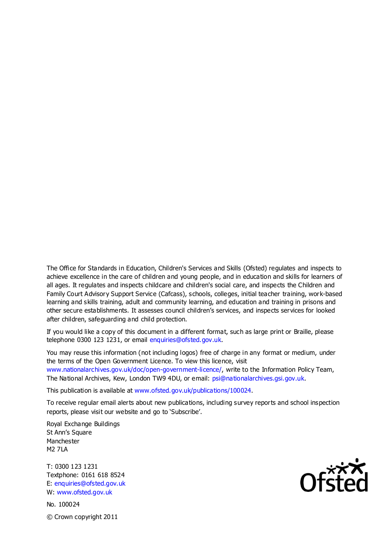The Office for Standards in Education, Children's Services and Skills (Ofsted) regulates and inspects to achieve excellence in the care of children and young people, and in education and skills for learners of all ages. It regulates and inspects childcare and children's social care, and inspects the Children and Family Court Advisory Support Service (Cafcass), schools, colleges, initial teacher training, work-based learning and skills training, adult and community learning, and education and training in prisons and other secure establishments. It assesses council children's services, and inspects services for looked after children, safeguarding and child protection.

If you would like a copy of this document in a different format, such as large print or Braille, please telephone 0300 123 1231, or email enquiries@ofsted.gov.uk.

You may reuse this information (not including logos) free of charge in any format or medium, under the terms of the Open Government Licence. To view this licence, visit www.nationalarchives.gov.uk/doc/open-government-licence/, write to the Information Policy Team, The National Archives, Kew, London TW9 4DU, or email: psi@nationalarchives.gsi.gov.uk.

This publication is available at www.ofsted.gov.uk/publications/100024.

To receive regular email alerts about new publications, including survey reports and school inspection reports, please visit our website and go to 'Subscribe'.

Royal Exchange Buildings St Ann's Square Manchester M2 7LA

T: 0300 123 1231 Textphone: 0161 618 8524 E: enquiries@ofsted.gov.uk W: www.ofsted.gov.uk

No. 100024 © Crown copyright 2011

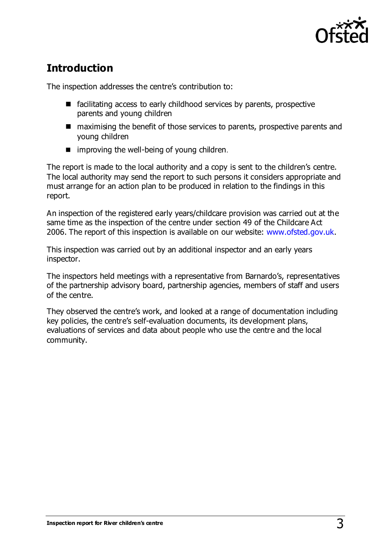

# **Introduction**

The inspection addresses the centre's contribution to:

- $\blacksquare$  facilitating access to early childhood services by parents, prospective parents and young children
- maximising the benefit of those services to parents, prospective parents and young children
- $\blacksquare$  improving the well-being of young children.

The report is made to the local authority and a copy is sent to the children's centre. The local authority may send the report to such persons it considers appropriate and must arrange for an action plan to be produced in relation to the findings in this report.

An inspection of the registered early years/childcare provision was carried out at the same time as the inspection of the centre under section 49 of the Childcare Act 2006. The report of this inspection is available on our website: [www.ofsted.gov.uk.](http://www.ofsted.gov.uk/)

This inspection was carried out by an additional inspector and an early years inspector.

The inspectors held meetings with a representative from Barnardo's, representatives of the partnership advisory board, partnership agencies, members of staff and users of the centre.

They observed the centre's work, and looked at a range of documentation including key policies, the centre's self-evaluation documents, its development plans, evaluations of services and data about people who use the centre and the local community.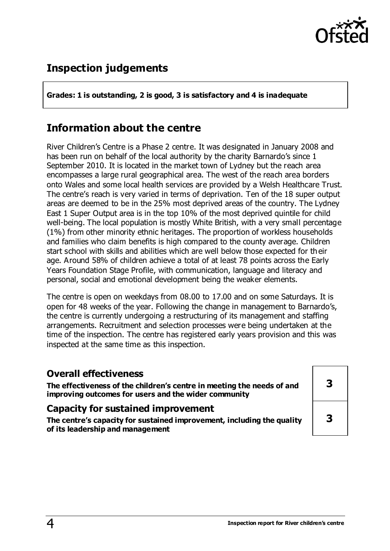

# **Inspection judgements**

**Grades: 1 is outstanding, 2 is good, 3 is satisfactory and 4 is inadequate**

# **Information about the centre**

River Children's Centre is a Phase 2 centre. It was designated in January 2008 and has been run on behalf of the local authority by the charity Barnardo's since 1 September 2010. It is located in the market town of Lydney but the reach area encompasses a large rural geographical area. The west of the reach area borders onto Wales and some local health services are provided by a Welsh Healthcare Trust. The centre's reach is very varied in terms of deprivation. Ten of the 18 super output areas are deemed to be in the 25% most deprived areas of the country. The Lydney East 1 Super Output area is in the top 10% of the most deprived quintile for child well-being. The local population is mostly White British, with a very small percentage (1%) from other minority ethnic heritages. The proportion of workless households and families who claim benefits is high compared to the county average. Children start school with skills and abilities which are well below those expected for th eir age. Around 58% of children achieve a total of at least 78 points across the Early Years Foundation Stage Profile, with communication, language and literacy and personal, social and emotional development being the weaker elements.

The centre is open on weekdays from 08.00 to 17.00 and on some Saturdays. It is open for 48 weeks of the year. Following the change in management to Barnardo's, the centre is currently undergoing a restructuring of its management and staffing arrangements. Recruitment and selection processes were being undertaken at the time of the inspection. The centre has registered early years provision and this was inspected at the same time as this inspection.

#### **Overall effectiveness**

**The effectiveness of the children's centre in meeting the needs of and improving outcomes for users and the wider community**

#### **Capacity for sustained improvement**

**The centre's capacity for sustained improvement, including the quality of its leadership and management**

| 3 |
|---|
| 3 |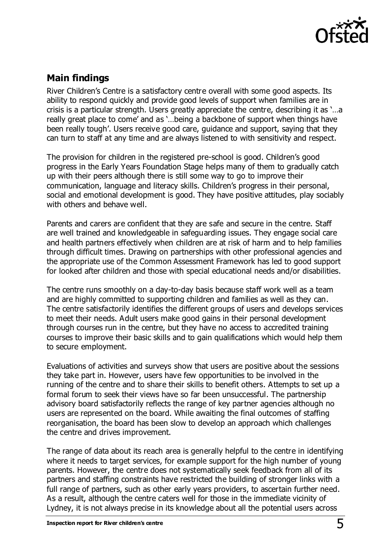

## **Main findings**

River Children's Centre is a satisfactory centre overall with some good aspects. Its ability to respond quickly and provide good levels of support when families are in crisis is a particular strength. Users greatly appreciate the centre, describing it as '…a really great place to come' and as '…being a backbone of support when things have been really tough'. Users receive good care, guidance and support, saying that they can turn to staff at any time and are always listened to with sensitivity and respect.

The provision for children in the registered pre-school is good. Children's good progress in the Early Years Foundation Stage helps many of them to gradually catch up with their peers although there is still some way to go to improve their communication, language and literacy skills. Children's progress in their personal, social and emotional development is good. They have positive attitudes, play sociably with others and behave well.

Parents and carers are confident that they are safe and secure in the centre. Staff are well trained and knowledgeable in safeguarding issues. They engage social care and health partners effectively when children are at risk of harm and to help families through difficult times. Drawing on partnerships with other professional agencies and the appropriate use of the Common Assessment Framework has led to good support for looked after children and those with special educational needs and/or disabilities.

The centre runs smoothly on a day-to-day basis because staff work well as a team and are highly committed to supporting children and families as well as they can. The centre satisfactorily identifies the different groups of users and develops services to meet their needs. Adult users make good gains in their personal development through courses run in the centre, but they have no access to accredited training courses to improve their basic skills and to gain qualifications which would help them to secure employment.

Evaluations of activities and surveys show that users are positive about the sessions they take part in. However, users have few opportunities to be involved in the running of the centre and to share their skills to benefit others. Attempts to set up a formal forum to seek their views have so far been unsuccessful. The partnership advisory board satisfactorily reflects the range of key partner agencies although no users are represented on the board. While awaiting the final outcomes of staffing reorganisation, the board has been slow to develop an approach which challenges the centre and drives improvement.

The range of data about its reach area is generally helpful to the centre in identifying where it needs to target services, for example support for the high number of young parents. However, the centre does not systematically seek feedback from all of its partners and staffing constraints have restricted the building of stronger links with a full range of partners, such as other early years providers, to ascertain further need. As a result, although the centre caters well for those in the immediate vicinity of Lydney, it is not always precise in its knowledge about all the potential users across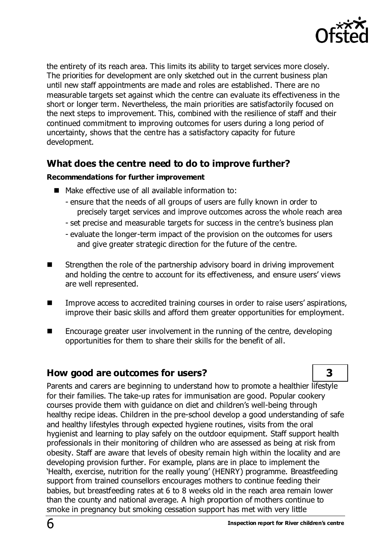

the entirety of its reach area. This limits its ability to target services more closely. The priorities for development are only sketched out in the current business plan until new staff appointments are made and roles are established. There are no measurable targets set against which the centre can evaluate its effectiveness in the short or longer term. Nevertheless, the main priorities are satisfactorily focused on the next steps to improvement. This, combined with the resilience of staff and their continued commitment to improving outcomes for users during a long period of uncertainty, shows that the centre has a satisfactory capacity for future development.

## **What does the centre need to do to improve further?**

#### **Recommendations for further improvement**

- $\blacksquare$  Make effective use of all available information to:
	- ensure that the needs of all groups of users are fully known in order to precisely target services and improve outcomes across the whole reach area
	- set precise and measurable targets for success in the centre's business plan
	- evaluate the longer-term impact of the provision on the outcomes for users and give greater strategic direction for the future of the centre.
- Strengthen the role of the partnership advisory board in driving improvement and holding the centre to account for its effectiveness, and ensure users' views are well represented.
- Improve access to accredited training courses in order to raise users' aspirations, improve their basic skills and afford them greater opportunities for employment.
- Encourage greater user involvement in the running of the centre, developing opportunities for them to share their skills for the benefit of all.

## **How good are outcomes for users? 3**

Parents and carers are beginning to understand how to promote a healthier lifestyle for their families. The take-up rates for immunisation are good. Popular cookery courses provide them with guidance on diet and children's well-being through healthy recipe ideas. Children in the pre-school develop a good understanding of safe and healthy lifestyles through expected hygiene routines, visits from the oral hygienist and learning to play safely on the outdoor equipment. Staff support health professionals in their monitoring of children who are assessed as being at risk from obesity. Staff are aware that levels of obesity remain high within the locality and are developing provision further. For example, plans are in place to implement the 'Health, exercise, nutrition for the really young' (HENRY) programme. Breastfeeding support from trained counsellors encourages mothers to continue feeding their babies, but breastfeeding rates at 6 to 8 weeks old in the reach area remain lower than the county and national average. A high proportion of mothers continue to smoke in pregnancy but smoking cessation support has met with very little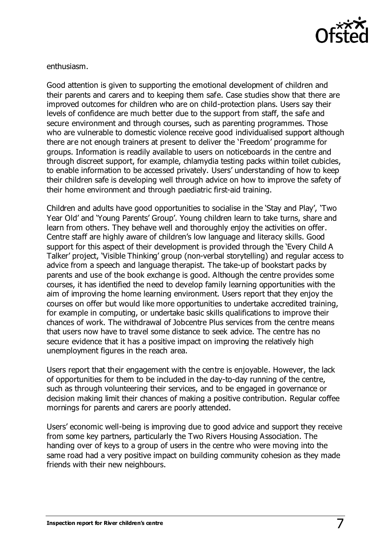

enthusiasm.

Good attention is given to supporting the emotional development of children and their parents and carers and to keeping them safe. Case studies show that there are improved outcomes for children who are on child-protection plans. Users say their levels of confidence are much better due to the support from staff, the safe and secure environment and through courses, such as parenting programmes. Those who are vulnerable to domestic violence receive good individualised support although there are not enough trainers at present to deliver the 'Freedom' programme for groups. Information is readily available to users on noticeboards in the centre and through discreet support, for example, chlamydia testing packs within toilet cubicles, to enable information to be accessed privately. Users' understanding of how to keep their children safe is developing well through advice on how to improve the safety of their home environment and through paediatric first-aid training.

Children and adults have good opportunities to socialise in the 'Stay and Play', 'Two Year Old' and 'Young Parents' Group'. Young children learn to take turns, share and learn from others. They behave well and thoroughly enjoy the activities on offer. Centre staff are highly aware of children's low language and literacy skills. Good support for this aspect of their development is provided through the 'Every Child A Talker' project, 'Visible Thinking' group (non-verbal storytelling) and regular access to advice from a speech and language therapist. The take-up of bookstart packs by parents and use of the book exchange is good. Although the centre provides some courses, it has identified the need to develop family learning opportunities with the aim of improving the home learning environment. Users report that they enjoy the courses on offer but would like more opportunities to undertake accredited training, for example in computing, or undertake basic skills qualifications to improve their chances of work. The withdrawal of Jobcentre Plus services from the centre means that users now have to travel some distance to seek advice. The centre has no secure evidence that it has a positive impact on improving the relatively high unemployment figures in the reach area.

Users report that their engagement with the centre is enjoyable. However, the lack of opportunities for them to be included in the day-to-day running of the centre, such as through volunteering their services, and to be engaged in governance or decision making limit their chances of making a positive contribution. Regular coffee mornings for parents and carers are poorly attended.

Users' economic well-being is improving due to good advice and support they receive from some key partners, particularly the Two Rivers Housing Association. The handing over of keys to a group of users in the centre who were moving into the same road had a very positive impact on building community cohesion as they made friends with their new neighbours.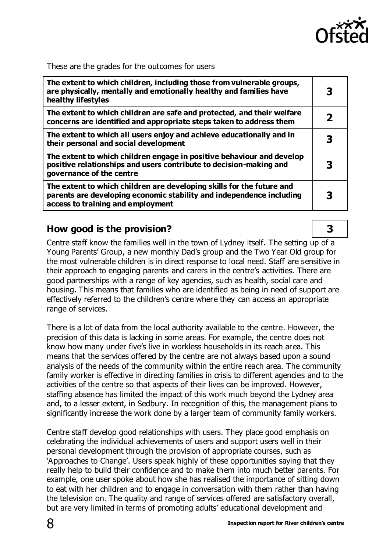

These are the grades for the outcomes for users

| The extent to which children, including those from vulnerable groups,<br>are physically, mentally and emotionally healthy and families have<br>healthy lifestyles                  |  |
|------------------------------------------------------------------------------------------------------------------------------------------------------------------------------------|--|
| The extent to which children are safe and protected, and their welfare<br>concerns are identified and appropriate steps taken to address them                                      |  |
| The extent to which all users enjoy and achieve educationally and in<br>their personal and social development                                                                      |  |
| The extent to which children engage in positive behaviour and develop<br>positive relationships and users contribute to decision-making and<br>governance of the centre            |  |
| The extent to which children are developing skills for the future and<br>parents are developing economic stability and independence including<br>access to training and employment |  |

#### **How good is the provision? 3**

Centre staff know the families well in the town of Lydney itself. The setting up of a Young Parents' Group, a new monthly Dad's group and the Two Year Old group for the most vulnerable children is in direct response to local need. Staff are sensitive in their approach to engaging parents and carers in the centre's activities. There are good partnerships with a range of key agencies, such as health, social care and housing. This means that families who are identified as being in need of support are effectively referred to the children's centre where they can access an appropriate range of services.

There is a lot of data from the local authority available to the centre. However, the precision of this data is lacking in some areas. For example, the centre does not know how many under five's live in workless households in its reach area. This means that the services offered by the centre are not always based upon a sound analysis of the needs of the community within the entire reach area. The community family worker is effective in directing families in crisis to different agencies and to the activities of the centre so that aspects of their lives can be improved. However, staffing absence has limited the impact of this work much beyond the Lydney area and, to a lesser extent, in Sedbury. In recognition of this, the management plans to significantly increase the work done by a larger team of community family workers.

Centre staff develop good relationships with users. They place good emphasis on celebrating the individual achievements of users and support users well in their personal development through the provision of appropriate courses, such as 'Approaches to Change'. Users speak highly of these opportunities saying that they really help to build their confidence and to make them into much better parents. For example, one user spoke about how she has realised the importance of sitting down to eat with her children and to engage in conversation with them rather than having the television on. The quality and range of services offered are satisfactory overall, but are very limited in terms of promoting adults' educational development and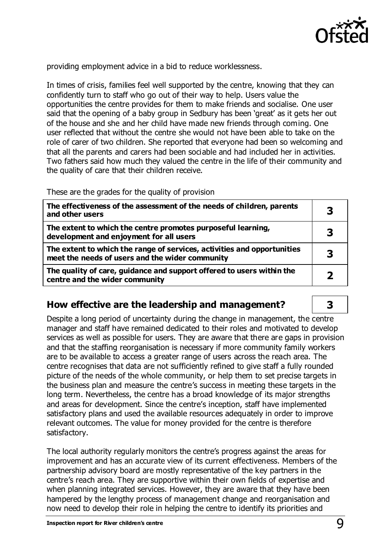

providing employment advice in a bid to reduce worklessness.

In times of crisis, families feel well supported by the centre, knowing that they can confidently turn to staff who go out of their way to help. Users value the opportunities the centre provides for them to make friends and socialise. One user said that the opening of a baby group in Sedbury has been 'great' as it gets her out of the house and she and her child have made new friends through coming. One user reflected that without the centre she would not have been able to take on the role of carer of two children. She reported that everyone had been so welcoming and that all the parents and carers had been sociable and had included her in activities. Two fathers said how much they valued the centre in the life of their community and the quality of care that their children receive.

These are the grades for the quality of provision

| The effectiveness of the assessment of the needs of children, parents<br>and other users                                   |  |
|----------------------------------------------------------------------------------------------------------------------------|--|
| The extent to which the centre promotes purposeful learning,<br>development and enjoyment for all users                    |  |
| The extent to which the range of services, activities and opportunities<br>meet the needs of users and the wider community |  |
| The quality of care, guidance and support offered to users within the<br>centre and the wider community                    |  |

## **How effective are the leadership and management? 3**

Despite a long period of uncertainty during the change in management, the centre manager and staff have remained dedicated to their roles and motivated to develop services as well as possible for users. They are aware that there are gaps in provision and that the staffing reorganisation is necessary if more community family workers are to be available to access a greater range of users across the reach area. The centre recognises that data are not sufficiently refined to give staff a fully rounded picture of the needs of the whole community, or help them to set precise targets in the business plan and measure the centre's success in meeting these targets in the long term. Nevertheless, the centre has a broad knowledge of its major strengths and areas for development. Since the centre's inception, staff have implemented satisfactory plans and used the available resources adequately in order to improve relevant outcomes. The value for money provided for the centre is therefore satisfactory.

The local authority regularly monitors the centre's progress against the areas for improvement and has an accurate view of its current effectiveness. Members of the partnership advisory board are mostly representative of the key partners in the centre's reach area. They are supportive within their own fields of expertise and when planning integrated services. However, they are aware that they have been hampered by the lengthy process of management change and reorganisation and now need to develop their role in helping the centre to identify its priorities and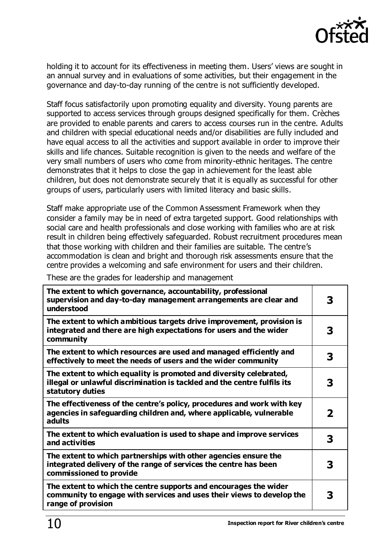

holding it to account for its effectiveness in meeting them. Users' views are sought in an annual survey and in evaluations of some activities, but their engagement in the governance and day-to-day running of the centre is not sufficiently developed.

Staff focus satisfactorily upon promoting equality and diversity. Young parents are supported to access services through groups designed specifically for them. Crèches are provided to enable parents and carers to access courses run in the centre. Adults and children with special educational needs and/or disabilities are fully included and have equal access to all the activities and support available in order to improve their skills and life chances. Suitable recognition is given to the needs and welfare of the very small numbers of users who come from minority-ethnic heritages. The centre demonstrates that it helps to close the gap in achievement for the least able children, but does not demonstrate securely that it is equally as successful for other groups of users, particularly users with limited literacy and basic skills.

Staff make appropriate use of the Common Assessment Framework when they consider a family may be in need of extra targeted support. Good relationships with social care and health professionals and close working with families who are at risk result in children being effectively safeguarded. Robust recruitment procedures mean that those working with children and their families are suitable. The centre's accommodation is clean and bright and thorough risk assessments ensure that the centre provides a welcoming and safe environment for users and their children.

These are the grades for leadership and management

| The extent to which governance, accountability, professional<br>supervision and day-to-day management arrangements are clear and<br>understood                     |   |
|--------------------------------------------------------------------------------------------------------------------------------------------------------------------|---|
| The extent to which ambitious targets drive improvement, provision is<br>integrated and there are high expectations for users and the wider<br>community           | З |
| The extent to which resources are used and managed efficiently and<br>effectively to meet the needs of users and the wider community                               | 3 |
| The extent to which equality is promoted and diversity celebrated,<br>illegal or unlawful discrimination is tackled and the centre fulfils its<br>statutory duties |   |
| The effectiveness of the centre's policy, procedures and work with key<br>agencies in safeguarding children and, where applicable, vulnerable<br>adults            | 2 |
| The extent to which evaluation is used to shape and improve services<br>and activities                                                                             | 3 |
| The extent to which partnerships with other agencies ensure the<br>integrated delivery of the range of services the centre has been<br>commissioned to provide     |   |
| The extent to which the centre supports and encourages the wider<br>community to engage with services and uses their views to develop the<br>range of provision    | З |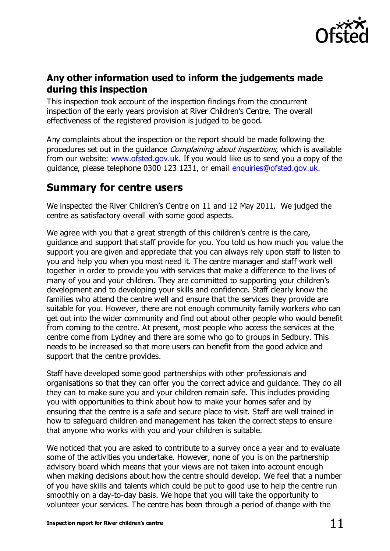

## **Any other information used to inform the judgements made during this inspection**

This inspection took account of the inspection findings from the concurrent inspection of the early years provision at River Children's Centre. The overall effectiveness of the registered provision is judged to be good.

Any complaints about the inspection or the report should be made following the procedures set out in the quidance *Complaining about inspections*, which is available from our website: [www.ofsted.gov.uk.](http://www.ofsted.gov.uk/) If you would like us to send you a copy of the guidance, please telephone 0300 123 1231, or email [enquiries@ofsted.gov.uk](mailto:enquiries@ofsted.gov.uk).

# **Summary for centre users**

We inspected the River Children's Centre on 11 and 12 May 2011. We judged the centre as satisfactory overall with some good aspects.

We agree with you that a great strength of this children's centre is the care, guidance and support that staff provide for you. You told us how much you value the support you are given and appreciate that you can always rely upon staff to listen to you and help you when you most need it. The centre manager and staff work well together in order to provide you with services that make a difference to the lives of many of you and your children. They are committed to supporting your children's development and to developing your skills and confidence. Staff clearly know the families who attend the centre well and ensure that the services they provide are suitable for you. However, there are not enough community family workers who can get out into the wider community and find out about other people who would benefit from coming to the centre. At present, most people who access the services at the centre come from Lydney and there are some who go to groups in Sedbury. This needs to be increased so that more users can benefit from the good advice and support that the centre provides.

Staff have developed some good partnerships with other professionals and organisations so that they can offer you the correct advice and guidance. They do all they can to make sure you and your children remain safe. This includes providing you with opportunities to think about how to make your homes safer and by ensuring that the centre is a safe and secure place to visit. Staff are well trained in how to safeguard children and management has taken the correct steps to ensure that anyone who works with you and your children is suitable.

We noticed that you are asked to contribute to a survey once a year and to evaluate some of the activities you undertake. However, none of you is on the partnership advisory board which means that your views are not taken into account enough when making decisions about how the centre should develop. We feel that a number of you have skills and talents which could be put to good use to help the centre run smoothly on a day-to-day basis. We hope that you will take the opportunity to volunteer your services. The centre has been through a period of change with the